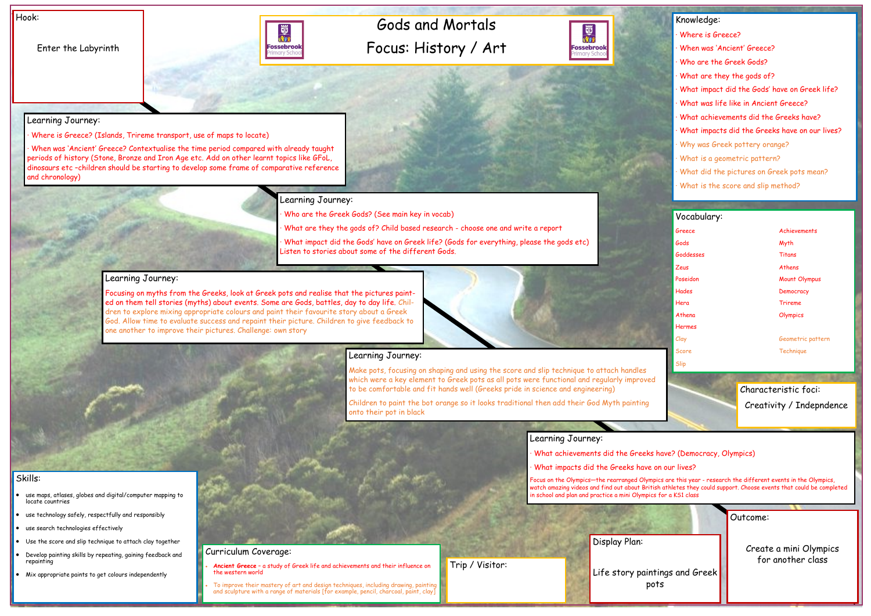## Gods and Mortals Focus: History / Art



Hook:

Enter the Labyrinth



|                | Outcome:               |
|----------------|------------------------|
| ings and Greek | Create a mini Olympics |
| ٢S             | for another class      |

#### Skills:

- use maps, atlases, globes and digital/computer mapping to locate countries
- use technology safely, respectfully and responsibly
- use search technologies effectively
- Use the score and slip technique to attach clay together
- Develop painting skills by repeating, gaining feedback and repainting
- Mix appropriate paints to get colours independently

### Learning Journey:

· Where is Greece? (Islands, Trireme transport, use of maps to locate)

· When was 'Ancient' Greece? Contextualise the time period compared with already taught periods of history (Stone, Bronze and Iron Age etc. Add on other learnt topics like GFoL, dinosaurs etc –children should be starting to develop some frame of comparative reference and chronology)

### Learning Journey:

Who are the Greek Gods? (See main key in vocab)

What are they the gods of? Child based research - choose one and write a report

• To improve their mastery of art and design techniques, including drawing, painting and sculpture with a range of materials [for example, pencil, charcoal, paint, clay]

· What impact did the Gods' have on Greek life? (Gods for everything, please the gods etc) Listen to stories about some of the different Gods.

#### Learning Journey:

## Knowledge: Where is Greece? · When was 'Ancient' Greece? Who are the Greek Gods? What are they the gods of? · What impact did the Gods' have on Greek life? What was life like in Ancient Greece? What achievements did the Greeks have? What impacts did the Greeks have on our lives? Why was Greek pottery orange? What is a geometric pattern? What did the pictures on Greek pots mean? What is the score and slip method? Vocabulary: Greece Achievements Gods Myth Goddesses Titans Zeus Athens Poseidon Mount Olympus Hades Democracy Hera Trireme Athena **Olympics** Hermes Clay Geometric pattern Score **Technique** Slip Characteristic foci: Creativity / Indepndence

Focusing on myths from the Greeks, look at Greek pots and realise that the pictures painted on them tell stories (myths) about events. Some are Gods, battles, day to day life. Children to explore mixing appropriate colours and paint their favourite story about a Greek God. Allow time to evaluate success and repaint their picture. Children to give feedback to one another to improve their pictures. Challenge: own story



### Learning Journey:

Make pots, focusing on shaping and using the score and slip technique to attach handles which were a key element to Greek pots as all pots were functional and regularly improved to be comfortable and fit hands well (Greeks pride in science and engineering)

Children to paint the bot orange so it looks traditional then add their God Myth painting onto their pot in black

#### Learning Journey:

What achievements did the Greeks have? (Democracy, Olympics)

What impacts did the Greeks have on our lives?

Focus on the Olympics—the rearranged Olympics are this year - research the different events in the Olympics, watch amazing videos and find out about British athletes they could support. Choose events that could be completed in school and plan and practice a mini Olympics for a KS1 class

Curriculum Coverage: • **Ancient Greece** – a study of Greek life and achievements and their influence on

the western world

Display Plan:

Trip / Visitor:

Life story paint po<sup>-</sup>